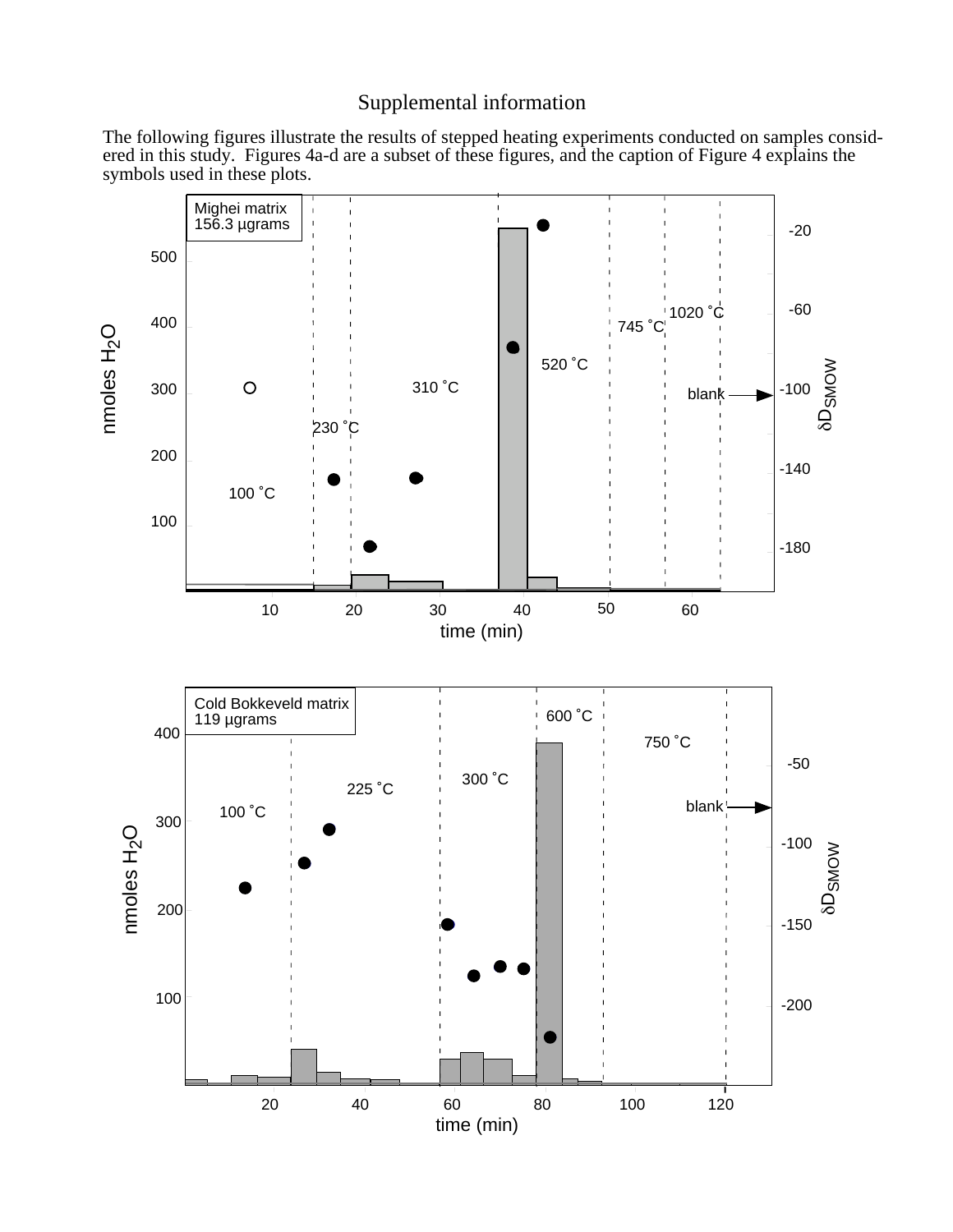## Supplemental information

The following figures illustrate the results of stepped heating experiments conducted on samples considered in this study. Figures 4a-d are a subset of these figures, and the caption of Figure 4 explains the symbols used in these plots.

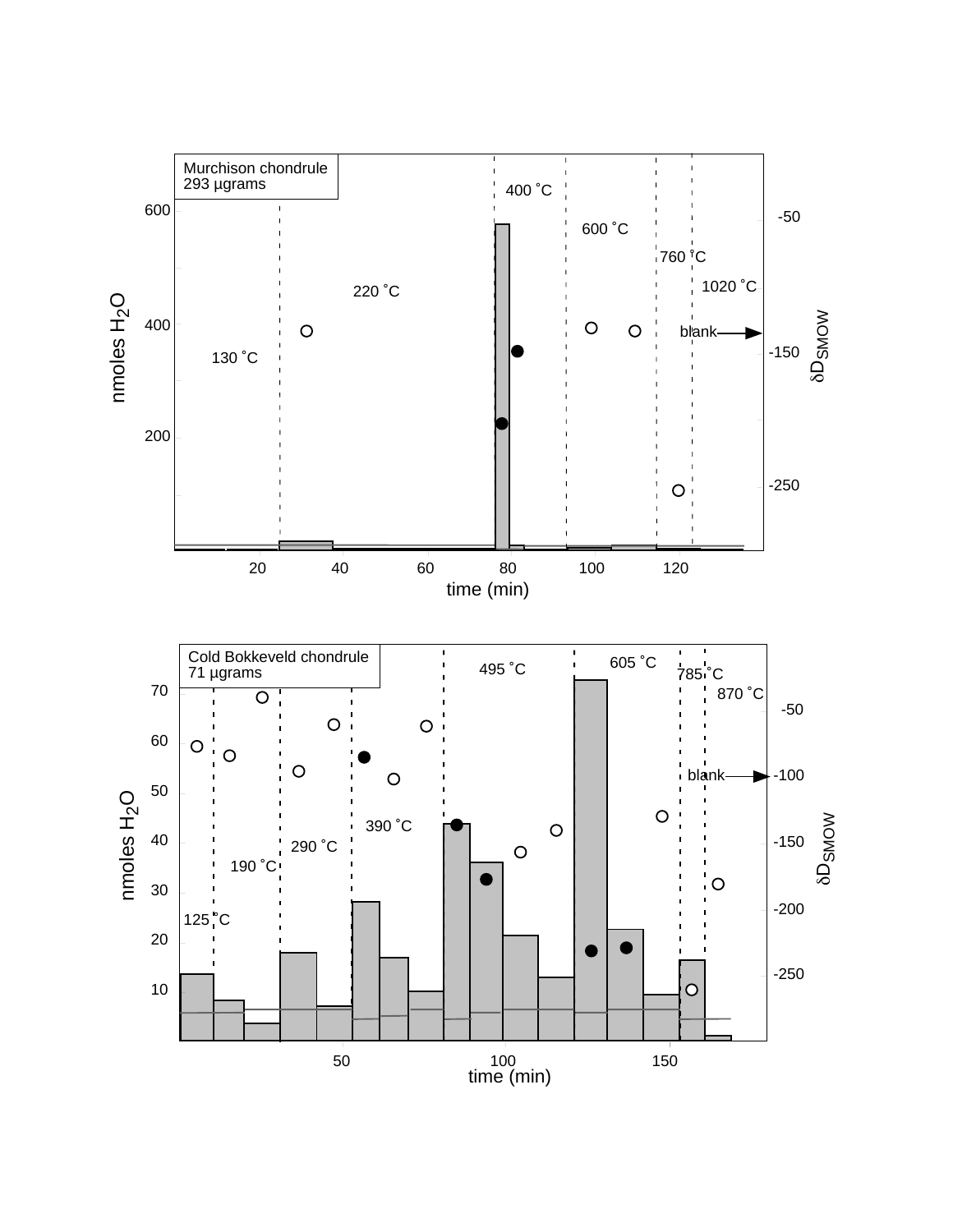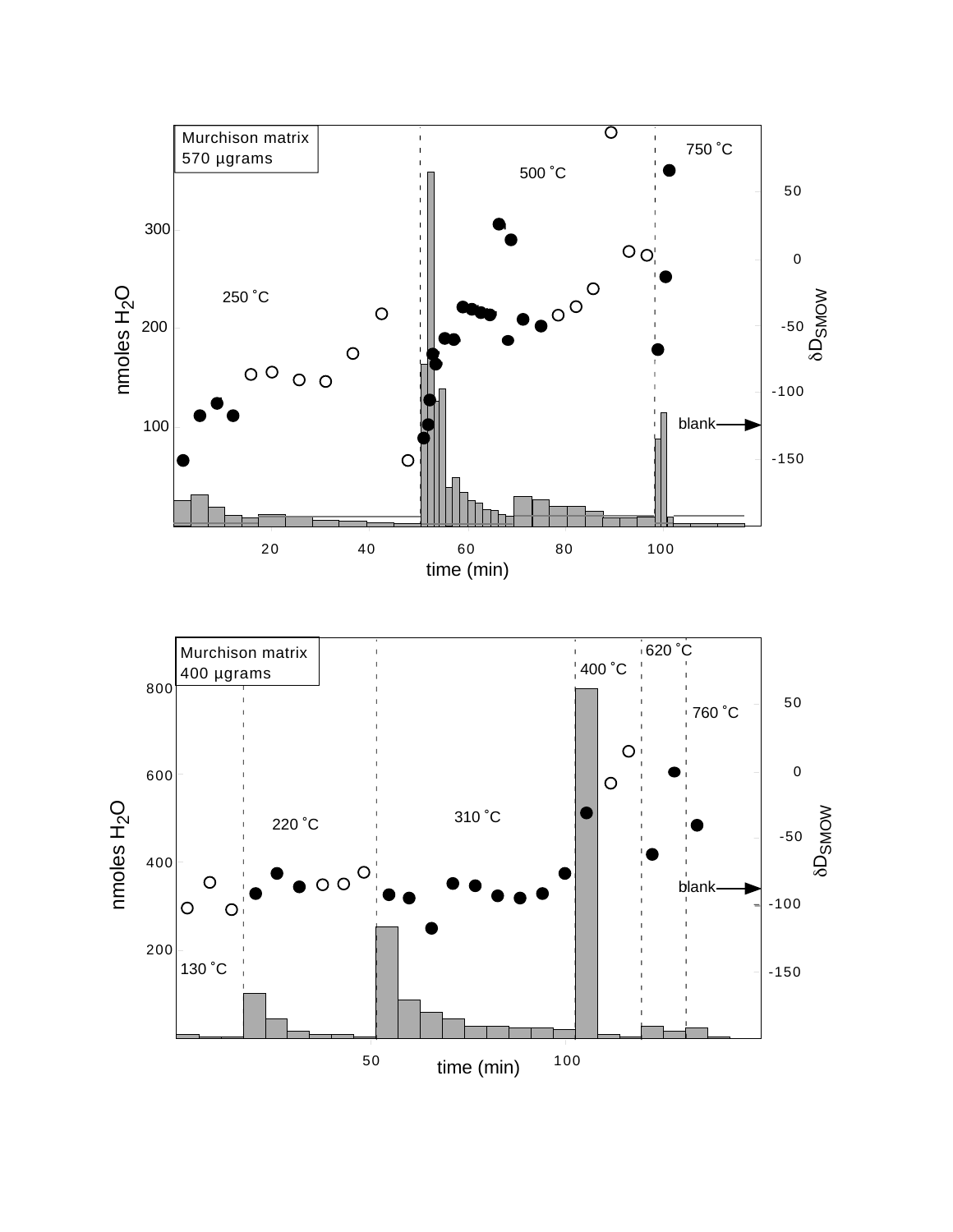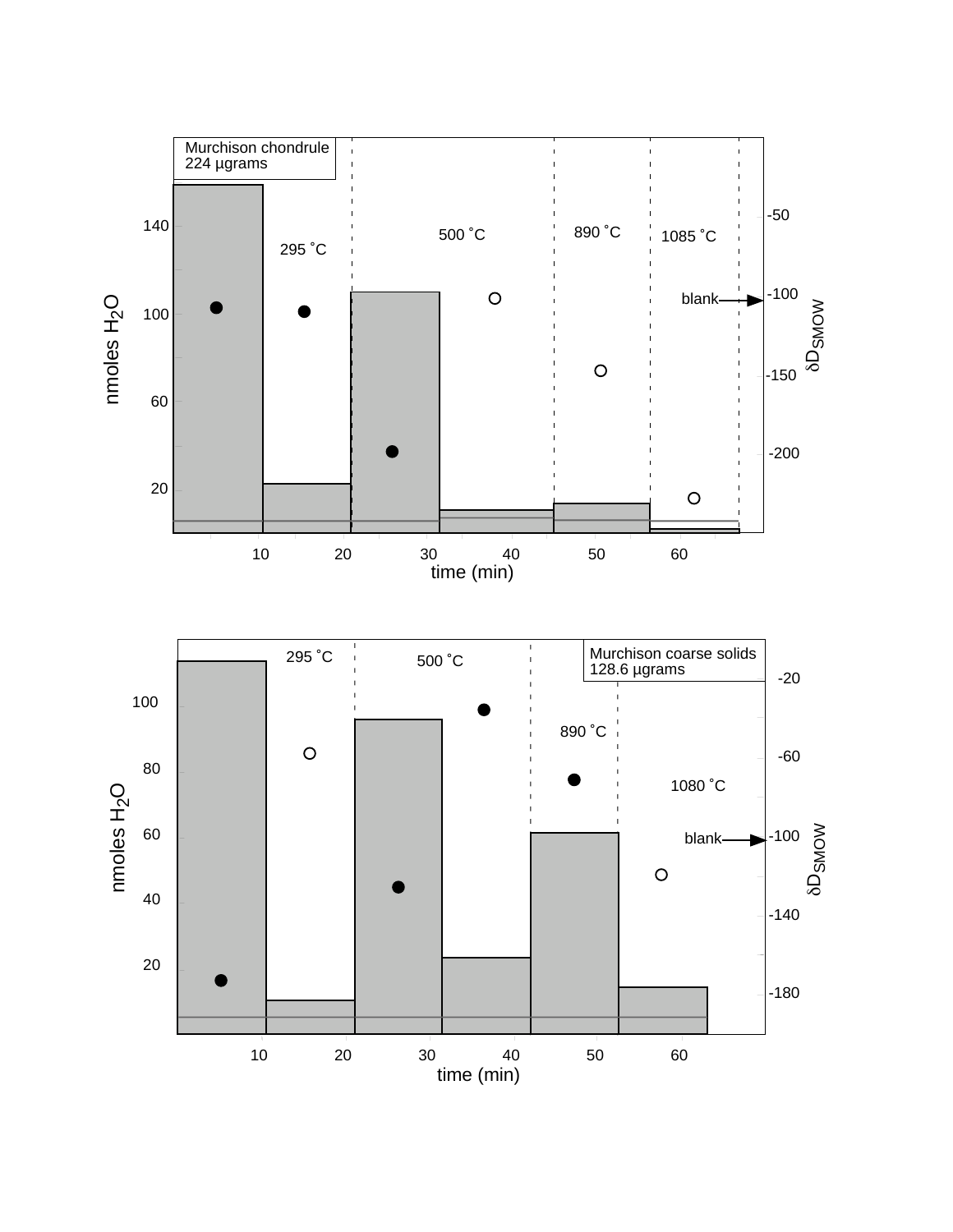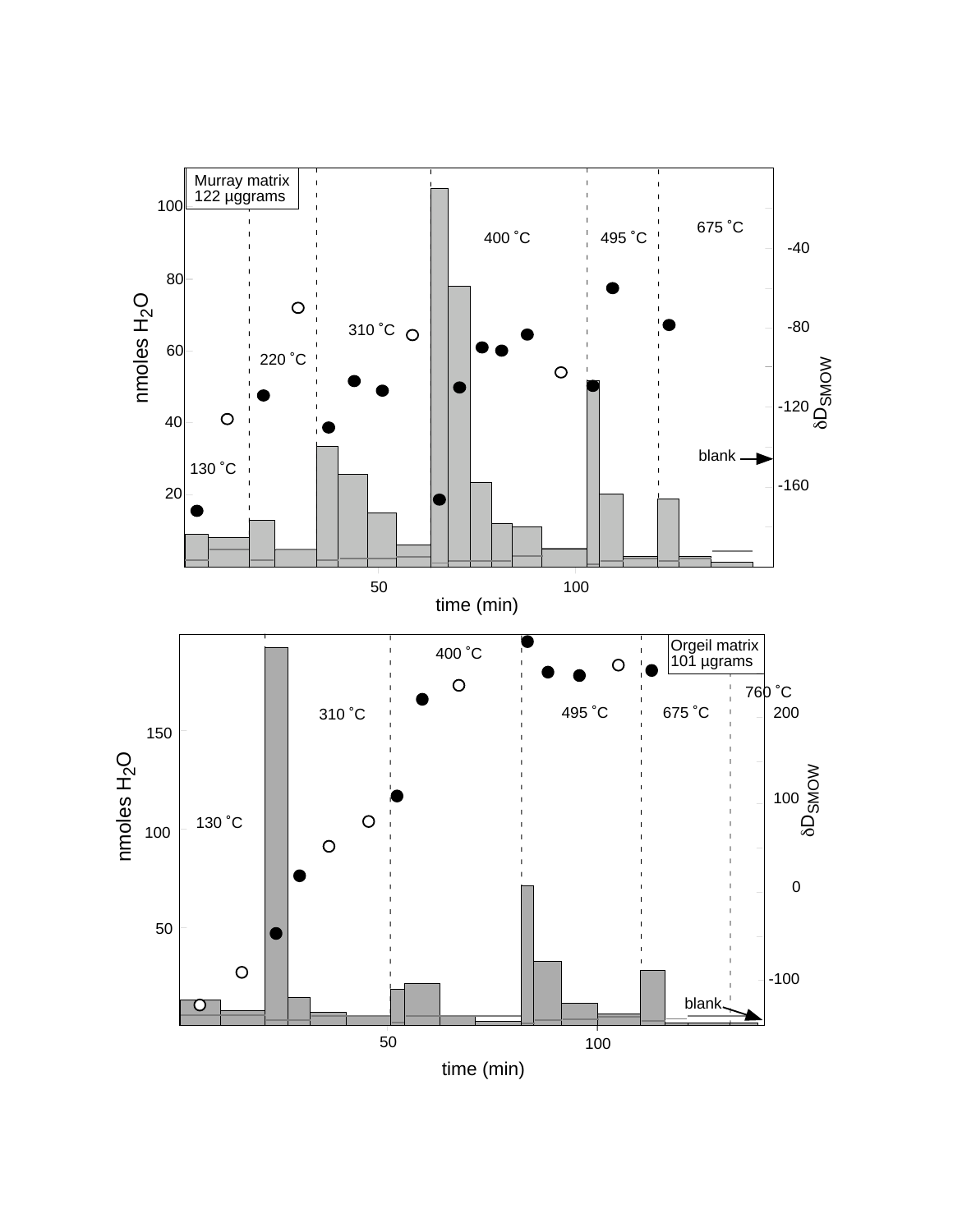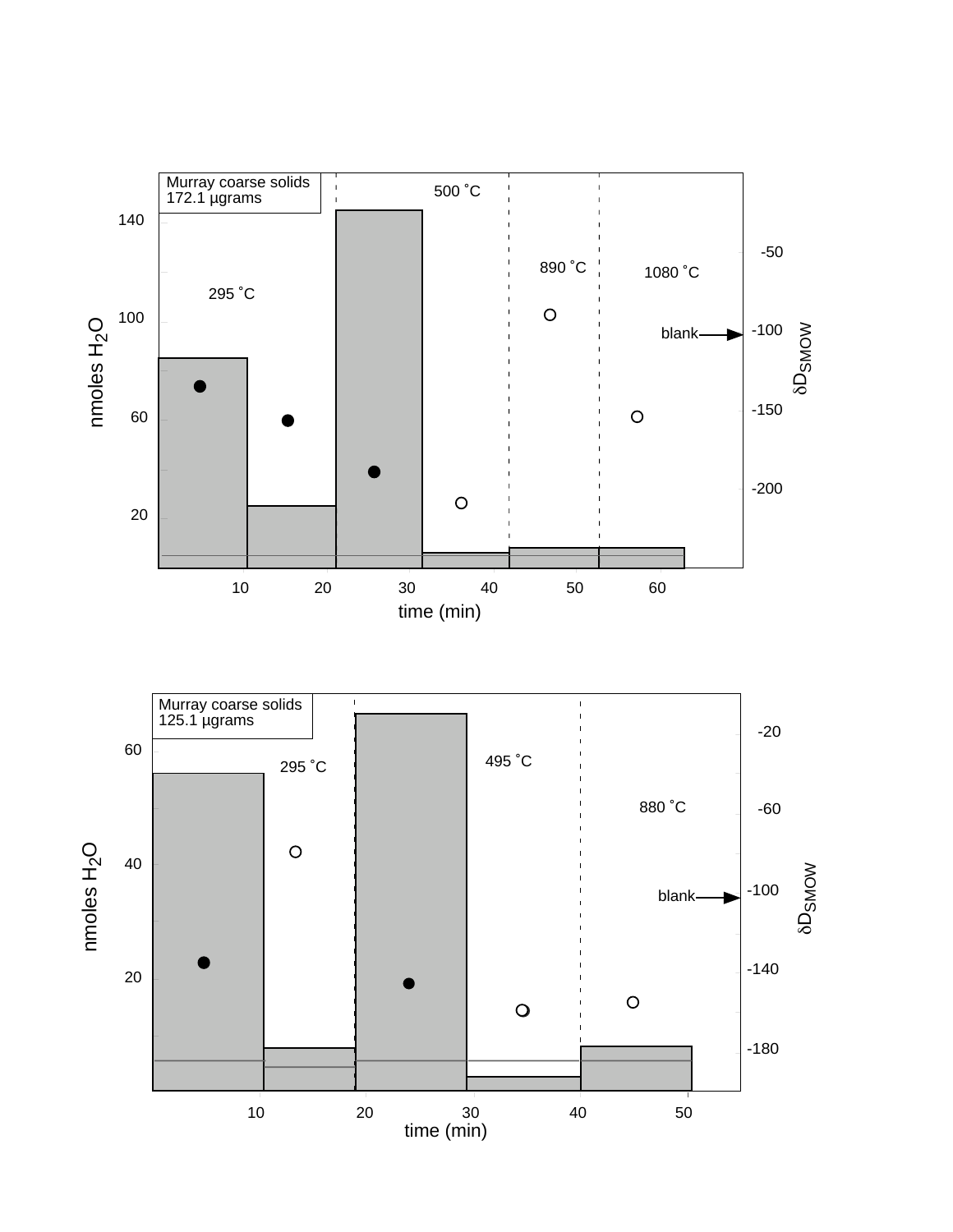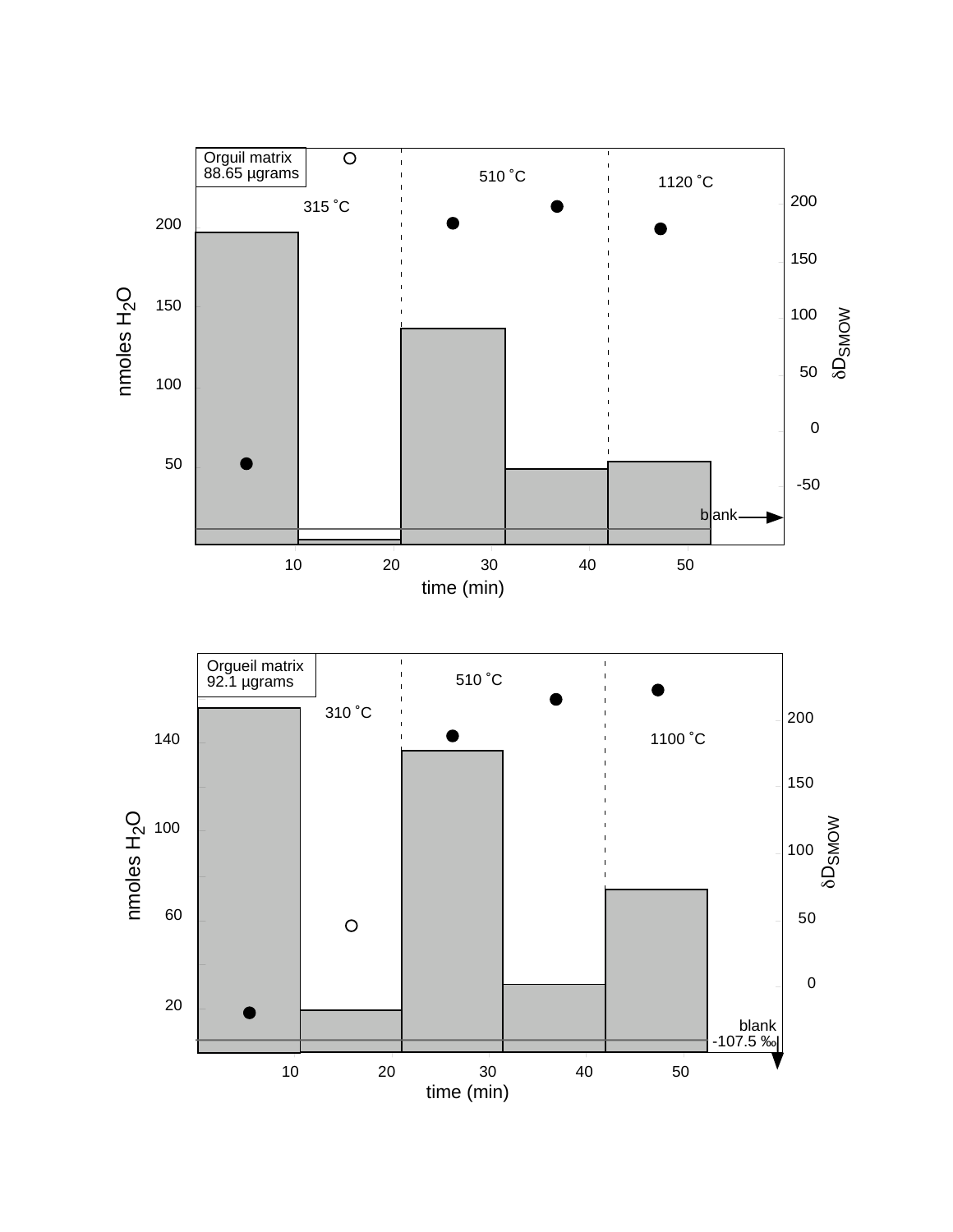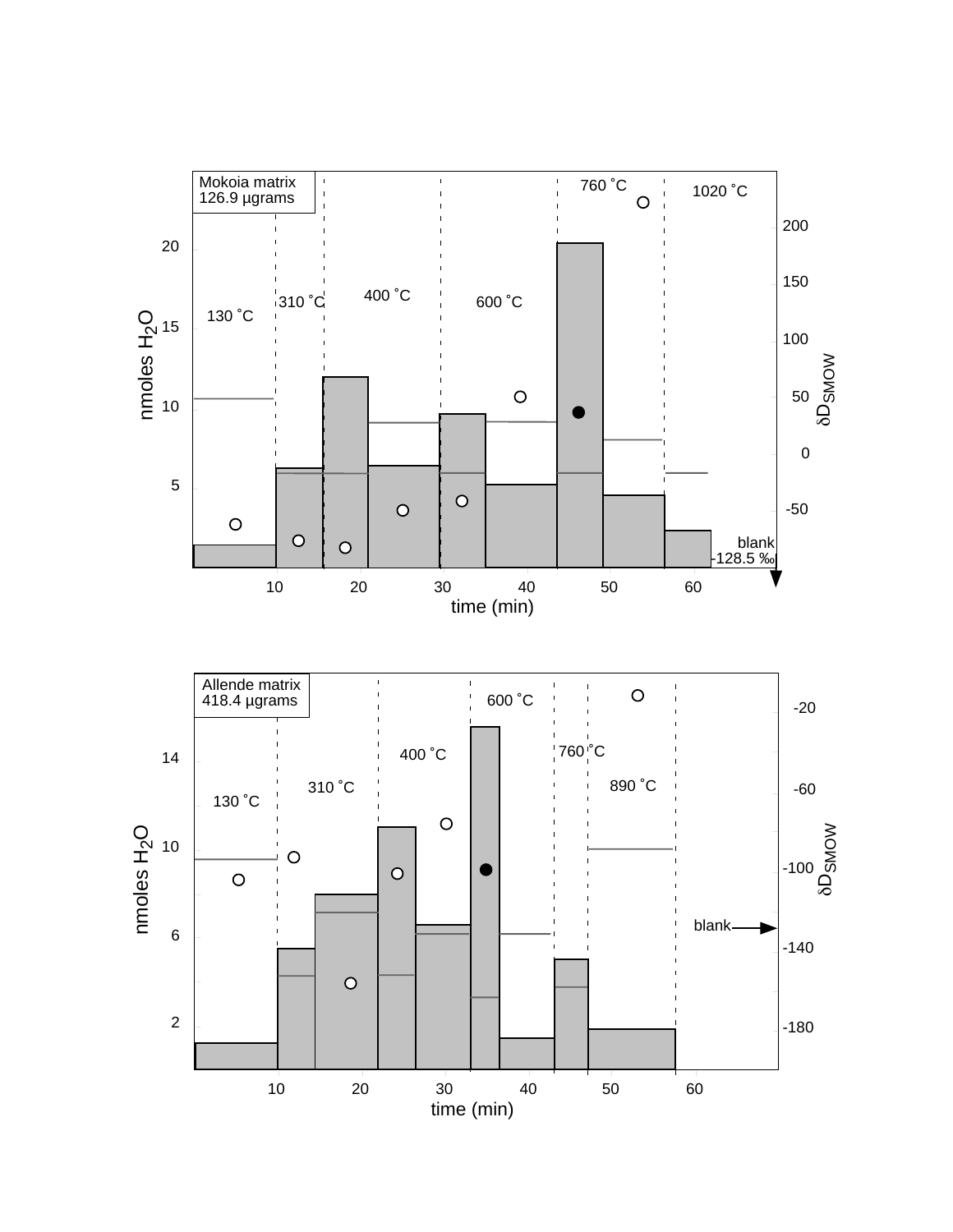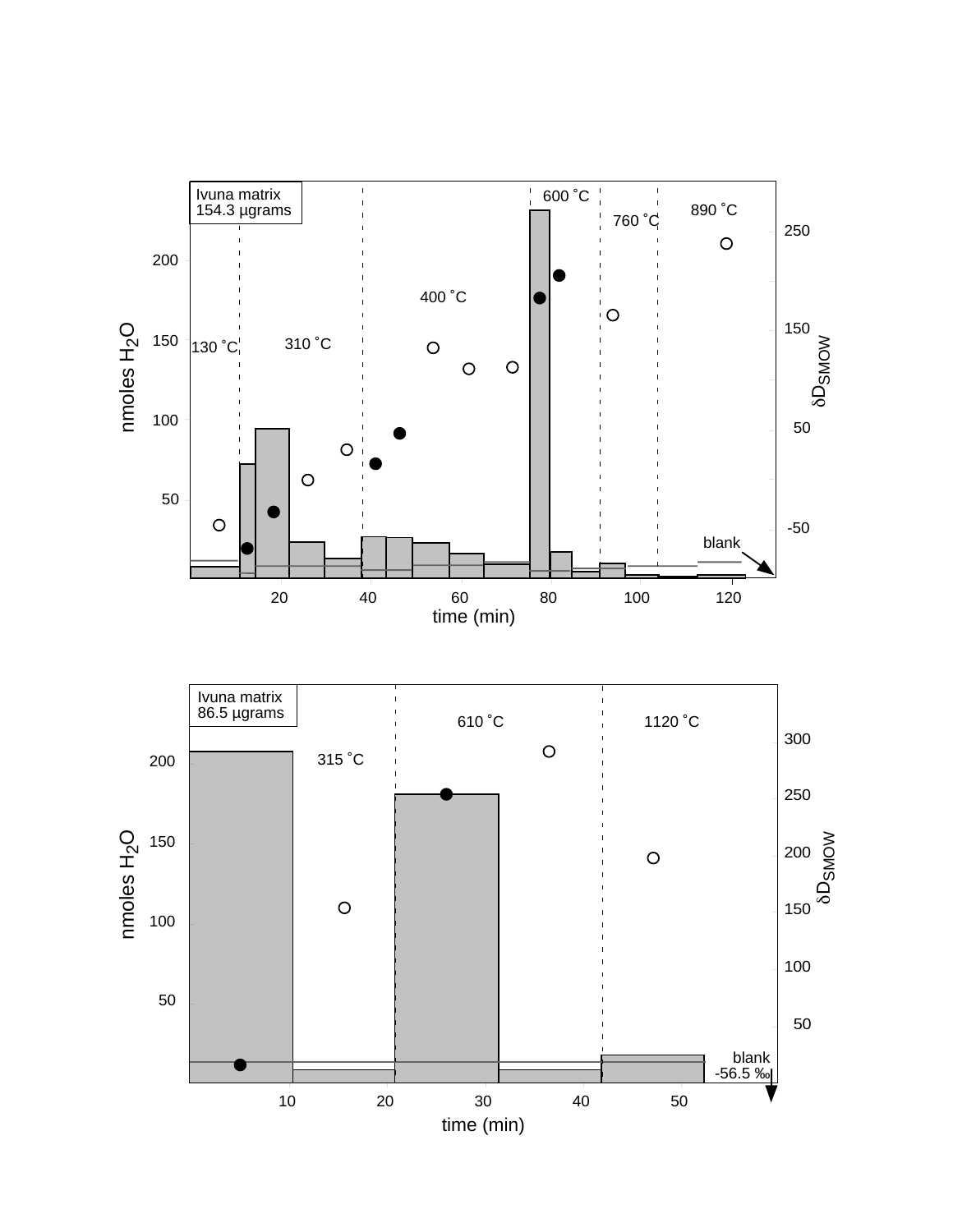